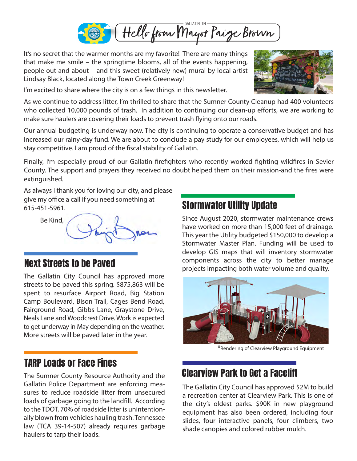

It's no secret that the warmer months are my favorite! There are many things that make me smile – the springtime blooms, all of the events happening, people out and about – and this sweet (relatively new) mural by local artist Lindsay Black, located along the Town Creek Greenway!

I'm excited to share where the city is on a few things in this newsletter.

As we continue to address litter, I'm thrilled to share that the Sumner County Cleanup had 400 volunteers who collected 10,000 pounds of trash. In addition to continuing our clean-up efforts, we are working to make sure haulers are covering their loads to prevent trash flying onto our roads.

Our annual budgeting is underway now. The city is continuing to operate a conservative budget and has increased our rainy-day fund. We are about to conclude a pay study for our employees, which will help us stay competitive. I am proud of the fiscal stability of Gallatin.

Finally, I'm especially proud of our Gallatin firefighters who recently worked fighting wildfires in Sevier County. The support and prayers they received no doubt helped them on their mission-and the fires were extinguished.

As always I thank you for loving our city, and please give my office a call if you need something at 615-451-5961.



#### Next Streets to be Paved

The Gallatin City Council has approved more streets to be paved this spring. \$875,863 will be spent to resurface Airport Road, Big Station Camp Boulevard, Bison Trail, Cages Bend Road, Fairground Road, Gibbs Lane, Graystone Drive, Neals Lane and Woodcrest Drive. Work is expected to get underway in May depending on the weather. More streets will be paved later in the year.

## TARP Loads or Face Fines

The Sumner County Resource Authority and the Gallatin Police Department are enforcing measures to reduce roadside litter from unsecured loads of garbage going to the landfill. According to the TDOT, 70% of roadside litter is unintentionally blown from vehicles hauling trash. Tennessee law (TCA 39-14-507) already requires garbage haulers to tarp their loads.

# Stormwater Utility Update

Since August 2020, stormwater maintenance crews have worked on more than 15,000 feet of drainage. This year the Utility budgeted \$150,000 to develop a Stormwater Master Plan. Funding will be used to develop GIS maps that will inventory stormwater components across the city to better manage projects impacting both water volume and quality.



\*Rendering of Clearview Playground Equipment

# Clearview Park to Get a Facelift

The Gallatin City Council has approved \$2M to build a recreation center at Clearview Park. This is one of the city's oldest parks. \$90K in new playground equipment has also been ordered, including four slides, four interactive panels, four climbers, two shade canopies and colored rubber mulch.